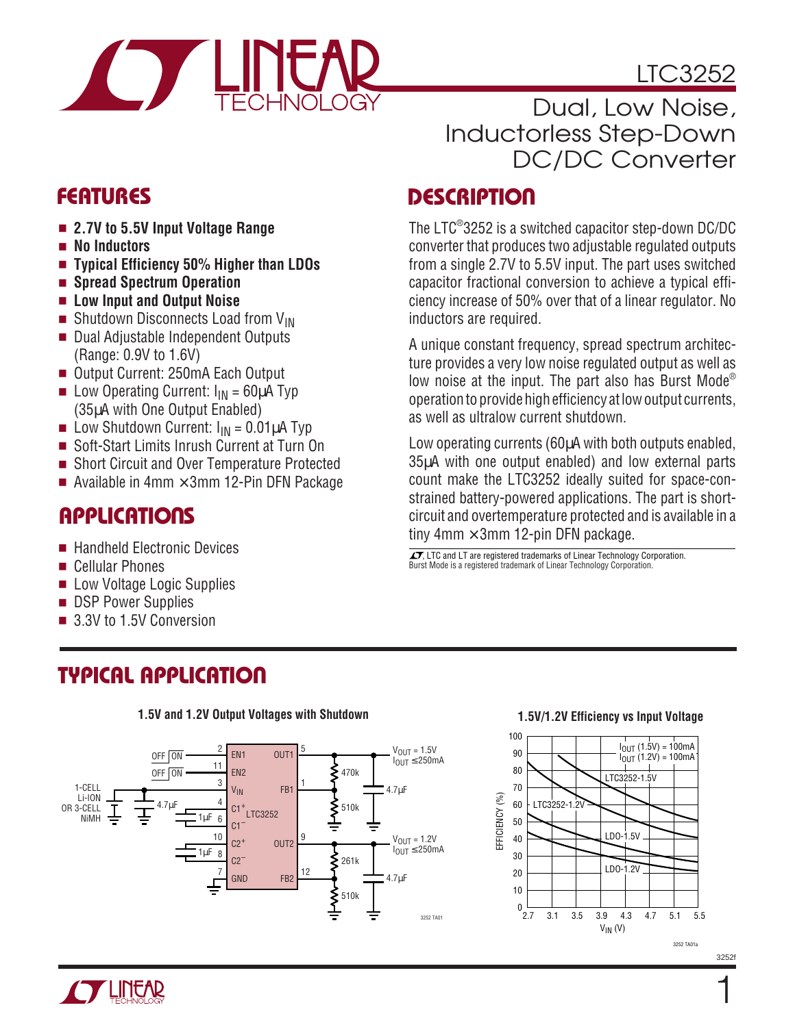

## LTC3252

## Dual, Low Noise, Inductorless Step-Down DC/DC Converter

The LTC®3252 is a switched capacitor step-down DC/DC converter that produces two adjustable regulated outputs from a single 2.7V to 5.5V input. The part uses switched capacitor fractional conversion to achieve a typical efficiency increase of 50% over that of a linear regulator. No

A unique constant frequency, spread spectrum architecture provides a very low noise regulated output as well as low noise at the input. The part also has Burst Mode® operation to provide high efficiency at low output currents,

Low operating currents (60µA with both outputs enabled, 35µA with one output enabled) and low external parts count make the LTC3252 ideally suited for space-constrained battery-powered applications. The part is shortcircuit and overtemperature protected and is available in a

inductors are required.

as well as ultralow current shutdown.

tiny 4mm  $\times$  3mm 12-pin DFN package.

∡▼, LTC and LT are registered trademarks of Linear Technology Corporation.<br>Burst Mode is a registered trademark of Linear Technology Corporation.

## **DESCRIPTIO <sup>U</sup> FEATURES**

- **2.7V to 5.5V Input Voltage Range**
- **No Inductors**
- **Typical Efficiency 50% Higher than LDOs**
- **Spread Spectrum Operation**
- **Low Input and Output Noise**
- Shutdown Disconnects Load from  $V_{IN}$
- Dual Adjustable Independent Outputs (Range: 0.9V to 1.6V)
- Output Current: 250mA Each Output
- **Low Operating Current:**  $I_{IN} = 60 \mu A$  Typ (35µA with One Output Enabled)
- **Low Shutdown Current:**  $I_{IN} = 0.01 \mu A$  **Typ**<br> **Soft-Start Limits Inrush Current at Turn C**
- Soft-Start Limits Inrush Current at Turn On
- Short Circuit and Over Temperature Protected
- Available in 4mm  $\times$  3mm 12-Pin DFN Package

## **APPLICATIONS**

- Handheld Electronic Devices
- Cellular Phones
- Low Voltage Logic Supplies
- DSP Power Supplies
- 3.3V to 1.5V Conversion

## **TYPICAL APPLICATION**



#### **1.5V and 1.2V Output Voltages with Shutdown**

#### **1.5V/1.2V Efficiency vs Input Voltage**



3252f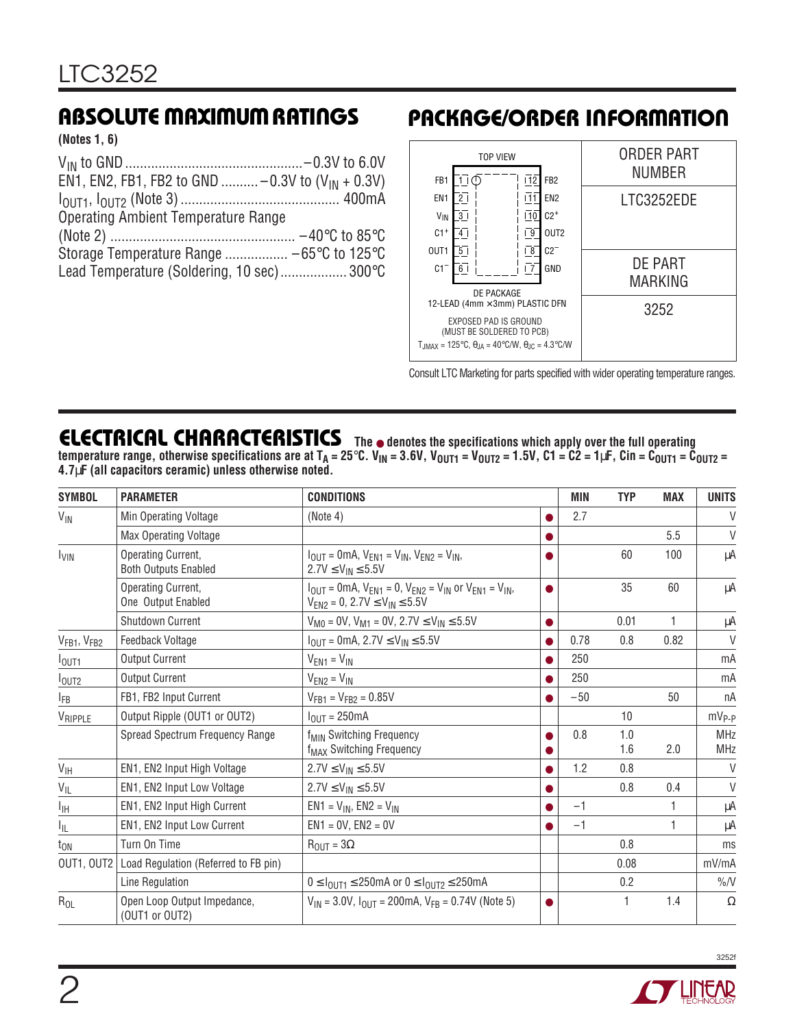**(Notes 1, 6)**

| EN1, EN2, FB1, FB2 to GND  -0.3V to $(V_{IN} + 0.3V)$ |  |
|-------------------------------------------------------|--|
|                                                       |  |
| <b>Operating Ambient Temperature Range</b>            |  |
|                                                       |  |
|                                                       |  |
| Lead Temperature (Soldering, 10 sec) 300°C            |  |

## **ABSOLUTE MAXIMUM RATINGS PACKAGE/ORDER INFORMATION**



Consult LTC Marketing for parts specified with wider operating temperature ranges.

## **ELECTRICAL CHARACTERISTICS The** ● **denotes the specifications which apply over the full operating**

**temperature range, otherwise specifications are at TA = 25**°**C. VIN = 3.6V, VOUT1 = VOUT2 = 1.5V, C1 = C2 = 1**µ**F, Cin = COUT1 = COUT2 = 4.7**µ**F (all capacitors ceramic) unless otherwise noted.**

| <b>SYMBOL</b>                       | <b>PARAMETER</b>                                  | <b>CONDITIONS</b>                                                                                                              |           | MIN   | <b>TYP</b> | <b>MAX</b> | <b>UNITS</b>             |
|-------------------------------------|---------------------------------------------------|--------------------------------------------------------------------------------------------------------------------------------|-----------|-------|------------|------------|--------------------------|
| $V_{\text{IN}}$                     | Min Operating Voltage                             | (Note 4)                                                                                                                       | $\bullet$ | 2.7   |            |            | V                        |
|                                     | Max Operating Voltage                             |                                                                                                                                | O         |       |            | 5.5        | $\vee$                   |
| <b>I<sub>VIN</sub></b>              | Operating Current,<br><b>Both Outputs Enabled</b> | $I_{\text{OUT}} = 0 \text{mA}, V_{\text{EN1}} = V_{\text{IN}}, V_{\text{EN2}} = V_{\text{IN}}$<br>$2.7V \le V_{IN} \le 5.5V$   | $\bullet$ |       | 60         | 100        | μA                       |
|                                     | Operating Current,<br>One Output Enabled          | $I_{OUT} = 0mA$ , $V_{EN1} = 0$ , $V_{EN2} = V_{IN}$ or $V_{EN1} = V_{IN}$ ,<br>$V_{EN2} = 0$ , 2.7V $\leq$ $V_{IN} \leq$ 5.5V | $\bullet$ |       | 35         | 60         | μA                       |
|                                     | Shutdown Current                                  | $V_{M0} = 0V$ , $V_{M1} = 0V$ , 2.7 $V \le V_{IN} \le 5.5V$                                                                    | $\bullet$ |       | 0.01       | 1          | μA                       |
| V <sub>FB1</sub> , V <sub>FB2</sub> | Feedback Voltage                                  | $I_{OUT} = 0$ mA, 2.7V $\leq$ V <sub>IN</sub> $\leq$ 5.5V                                                                      | $\bullet$ | 0.78  | 0.8        | 0.82       | V                        |
| $I_{\text{OUT1}}$                   | <b>Output Current</b>                             | $V_{EN1} = V_{IN}$                                                                                                             |           | 250   |            |            | mA                       |
| $I_{OUT2}$                          | <b>Output Current</b>                             | $V_{EN2} = V_{IN}$                                                                                                             | ●         | 250   |            |            | mA                       |
| <b>IFB</b>                          | FB1, FB2 Input Current                            | $V_{FB1} = V_{FB2} = 0.85V$                                                                                                    | $\bullet$ | $-50$ |            | 50         | nA                       |
| VRIPPLE                             | Output Ripple (OUT1 or OUT2)                      | $I_{\text{OUT}} = 250 \text{mA}$                                                                                               |           |       | 10         |            | $mV_{P-P}$               |
|                                     | Spread Spectrum Frequency Range                   | f <sub>MIN</sub> Switching Frequency<br>f <sub>MAX</sub> Switching Frequency                                                   | ●         | 0.8   | 1.0<br>1.6 | 2.0        | <b>MHz</b><br><b>MHz</b> |
| $V_{\text{IH}}$                     | EN1, EN2 Input High Voltage                       | $2.7V \le V_{IN} \le 5.5V$                                                                                                     |           | 1.2   | 0.8        |            | $\vee$                   |
| $V_{IL}$                            | EN1, EN2 Input Low Voltage                        | $2.7V \le V_{IN} \le 5.5V$                                                                                                     | 0         |       | 0.8        | 0.4        | $\vee$                   |
| I <sub>IH</sub>                     | EN1, EN2 Input High Current                       | $EN1 = V_{IN}$ , $EN2 = V_{IN}$                                                                                                | $\bullet$ | $-1$  |            |            | μA                       |
| Ιı                                  | EN1, EN2 Input Low Current                        | $EN1 = 0V$ , $EN2 = 0V$                                                                                                        | ●         | $-1$  |            | 1          | μA                       |
| $t_{ON}$                            | Turn On Time                                      | $R_{\text{OUT}} = 3\Omega$                                                                                                     |           |       | 0.8        |            | ms                       |
| OUT1, OUT2                          | Load Regulation (Referred to FB pin)              |                                                                                                                                |           |       | 0.08       |            | mV/mA                    |
|                                     | Line Regulation                                   | $0 \leq I_{\text{OUT1}} \leq 250 \text{mA}$ or $0 \leq I_{\text{OUT2}} \leq 250 \text{mA}$                                     |           |       | 0.2        |            | $\%$ /V                  |
| $R_{OL}$                            | Open Loop Output Impedance,<br>(OUT1 or OUT2)     | $V_{1N}$ = 3.0V, $I_{OUT}$ = 200mA, $V_{FB}$ = 0.74V (Note 5)                                                                  | 0         |       | 1          | 1.4        | $\Omega$                 |

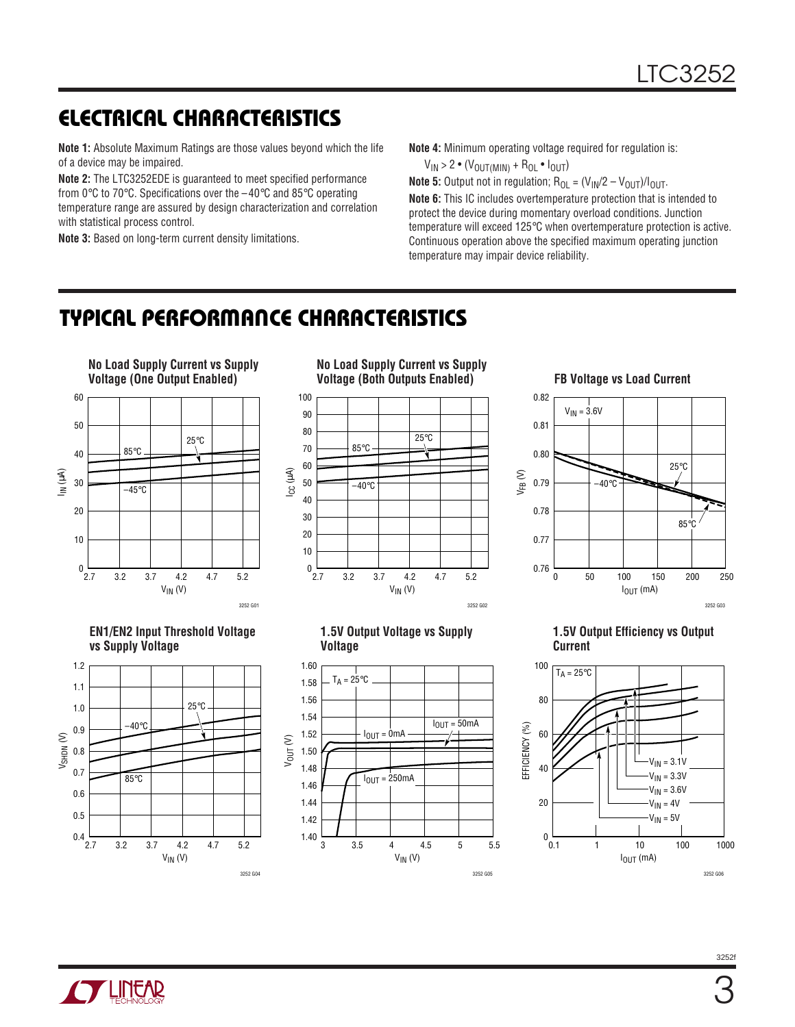## **ELECTRICAL CHARACTERISTICS**

**Note 1:** Absolute Maximum Ratings are those values beyond which the life of a device may be impaired.

**Note 2:** The LTC3252EDE is guaranteed to meet specified performance from 0°C to 70°C. Specifications over the –40°C and 85°C operating temperature range are assured by design characterization and correlation with statistical process control.

**Note 3:** Based on long-term current density limitations.

**Note 4:** Minimum operating voltage required for regulation is:

 $V_{IN}$  > 2  $\bullet$  ( $V_{OUT(MIN)}$  + R<sub>OL</sub> $\bullet$   $I_{OUT}$ )

**Note 5:** Output not in regulation;  $R_{OL} = (V_{IN}/2 - V_{OUT})/I_{OUT}$ . **Note 6:** This IC includes overtemperature protection that is intended to protect the device during momentary overload conditions. Junction temperature will exceed 125°C when overtemperature protection is active. Continuous operation above the specified maximum operating junction temperature may impair device reliability.

## **TYPICAL PERFORMANCE CHARACTERISTICS**



 $V_{IN}$  (V)

3252 G05



**1.5V Output Efficiency vs Output**





 $V_{IN}$  (V)

3252 G04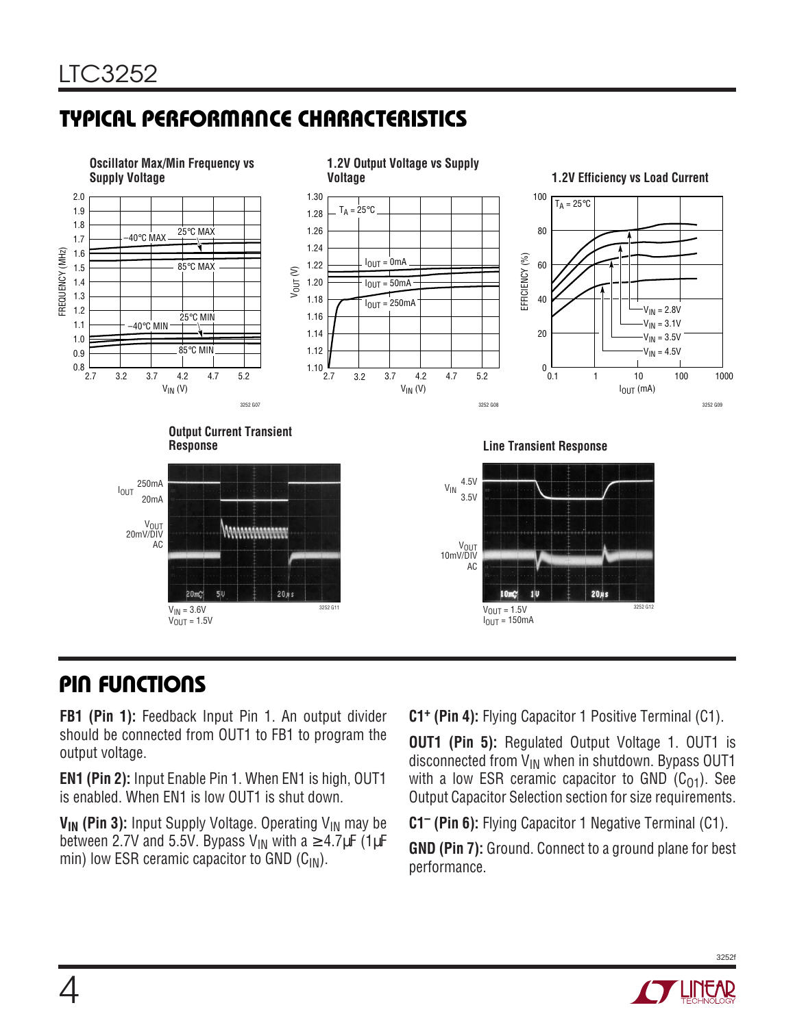# **TYPICAL PERFORMANCE CHARACTERISTICS**



## **PIN FUNCTIONS**

**FB1 (Pin 1):** Feedback Input Pin 1. An output divider should be connected from OUT1 to FB1 to program the output voltage.

**EN1 (Pin 2):** Input Enable Pin 1. When EN1 is high, OUT1 is enabled. When EN1 is low OUT1 is shut down.

**V<sub>IN</sub>** (Pin 3): Input Supply Voltage. Operating V<sub>IN</sub> may be between 2.7V and 5.5V. Bypass V<sub>IN</sub> with a  $\geq$  4.7µF (1µF min) low ESR ceramic capacitor to GND  $(C_{1N})$ .

**C1+ (Pin 4):** Flying Capacitor 1 Positive Terminal (C1).

**OUT1 (Pin 5):** Regulated Output Voltage 1. OUT1 is disconnected from  $V_{IN}$  when in shutdown. Bypass OUT1 with a low ESR ceramic capacitor to GND  $(C_{01})$ . See Output Capacitor Selection section for size requirements.

**C1– (Pin 6):** Flying Capacitor 1 Negative Terminal (C1).

**GND (Pin 7):** Ground. Connect to a ground plane for best performance.

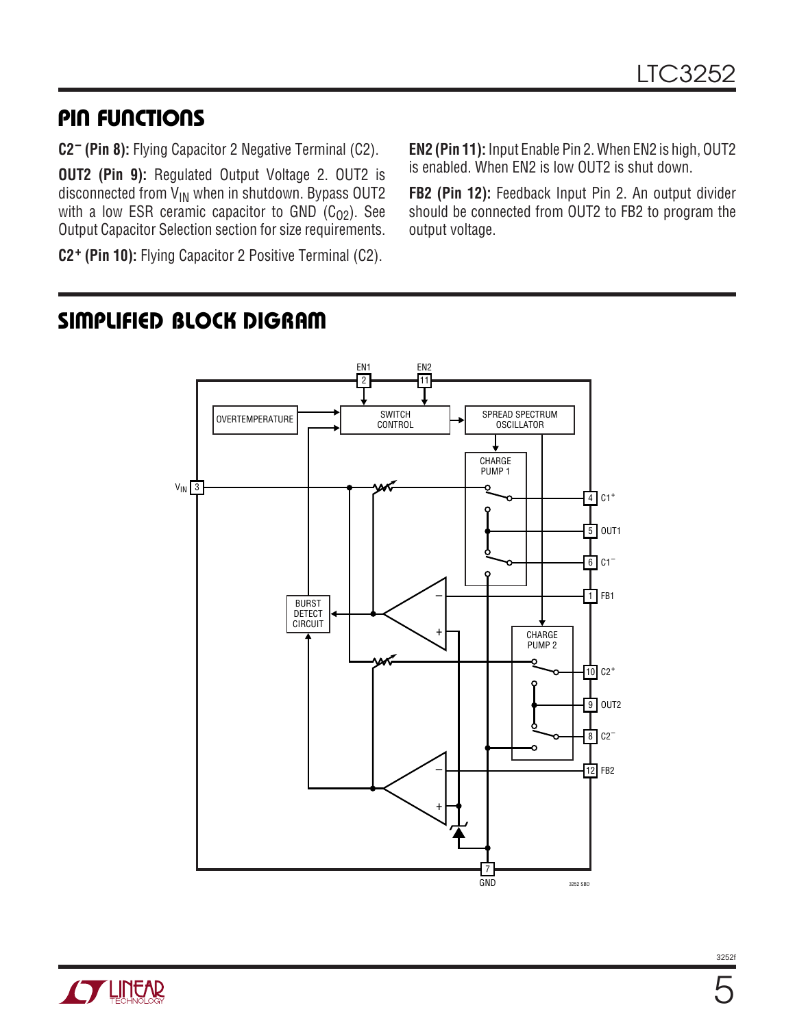## **PIN FUNCTIONS**

**C2– (Pin 8):** Flying Capacitor 2 Negative Terminal (C2).

**OUT2 (Pin 9):** Regulated Output Voltage 2. OUT2 is disconnected from  $\check{V}_{IN}$  when in shutdown. Bypass OUT2 with a low ESR ceramic capacitor to GND  $(C_{02})$ . See Output Capacitor Selection section for size requirements.

**C2+ (Pin 10):** Flying Capacitor 2 Positive Terminal (C2).

**EN2 (Pin 11):** Input Enable Pin 2. When EN2 is high, OUT2 is enabled. When EN2 is low OUT2 is shut down.

**FB2 (Pin 12):** Feedback Input Pin 2. An output divider should be connected from OUT2 to FB2 to program the output voltage.

## **SIMPLIFIED BLOCK DIGRAM**



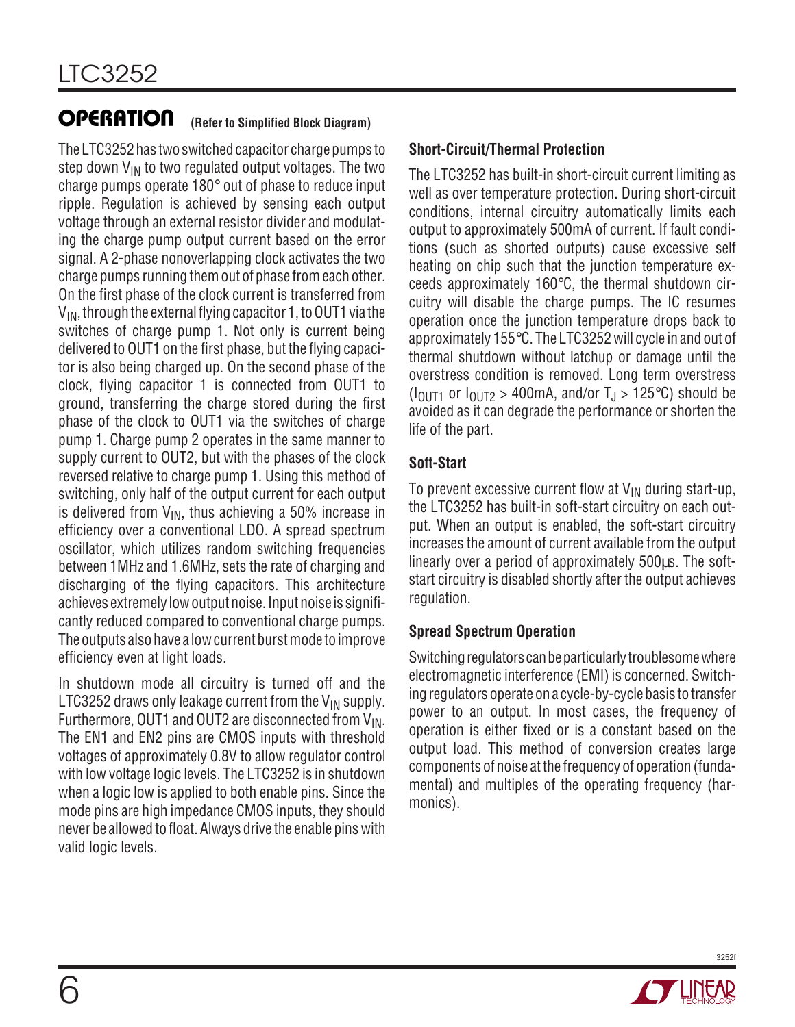The LTC3252 has two switched capacitor charge pumps to step down  $V_{IN}$  to two regulated output voltages. The two charge pumps operate 180° out of phase to reduce input ripple. Regulation is achieved by sensing each output voltage through an external resistor divider and modulating the charge pump output current based on the error signal. A 2-phase nonoverlapping clock activates the two charge pumps running them out of phase from each other. On the first phase of the clock current is transferred from  $V_{IN}$ , through the external flying capacitor 1, to OUT1 via the switches of charge pump 1. Not only is current being delivered to OUT1 on the first phase, but the flying capacitor is also being charged up. On the second phase of the clock, flying capacitor 1 is connected from OUT1 to ground, transferring the charge stored during the first phase of the clock to OUT1 via the switches of charge pump 1. Charge pump 2 operates in the same manner to supply current to OUT2, but with the phases of the clock reversed relative to charge pump 1. Using this method of switching, only half of the output current for each output is delivered from  $V_{IN}$ , thus achieving a 50% increase in efficiency over a conventional LDO. A spread spectrum oscillator, which utilizes random switching frequencies between 1MHz and 1.6MHz, sets the rate of charging and discharging of the flying capacitors. This architecture achieves extremely low output noise. Input noise is significantly reduced compared to conventional charge pumps. The outputs also have a low current burst mode to improve efficiency even at light loads.

In shutdown mode all circuitry is turned off and the LTC3252 draws only leakage current from the  $V_{IN}$  supply. Furthermore, OUT1 and OUT2 are disconnected from  $V_{\text{IN}}$ . The EN1 and EN2 pins are CMOS inputs with threshold voltages of approximately 0.8V to allow regulator control with low voltage logic levels. The LTC3252 is in shutdown when a logic low is applied to both enable pins. Since the mode pins are high impedance CMOS inputs, they should never be allowed to float. Always drive the enable pins with valid logic levels.

#### **Short-Circuit/Thermal Protection**

The LTC3252 has built-in short-circuit current limiting as well as over temperature protection. During short-circuit conditions, internal circuitry automatically limits each output to approximately 500mA of current. If fault conditions (such as shorted outputs) cause excessive self heating on chip such that the junction temperature exceeds approximately 160°C, the thermal shutdown circuitry will disable the charge pumps. The IC resumes operation once the junction temperature drops back to approximately 155°C. The LTC3252 will cycle in and out of thermal shutdown without latchup or damage until the overstress condition is removed. Long term overstress  $(I<sub>OIII1</sub>$  or  $I<sub>OIII2</sub> > 400$ mA, and/or  $T<sub>J</sub> > 125$ °C) should be avoided as it can degrade the performance or shorten the life of the part.

#### **Soft-Start**

To prevent excessive current flow at  $V_{IN}$  during start-up, the LTC3252 has built-in soft-start circuitry on each output. When an output is enabled, the soft-start circuitry increases the amount of current available from the output linearly over a period of approximately 500µs. The softstart circuitry is disabled shortly after the output achieves regulation.

#### **Spread Spectrum Operation**

Switching regulators can be particularly troublesome where electromagnetic interference (EMI) is concerned. Switching regulators operate on a cycle-by-cycle basis to transfer power to an output. In most cases, the frequency of operation is either fixed or is a constant based on the output load. This method of conversion creates large components of noise at the frequency of operation (fundamental) and multiples of the operating frequency (harmonics).

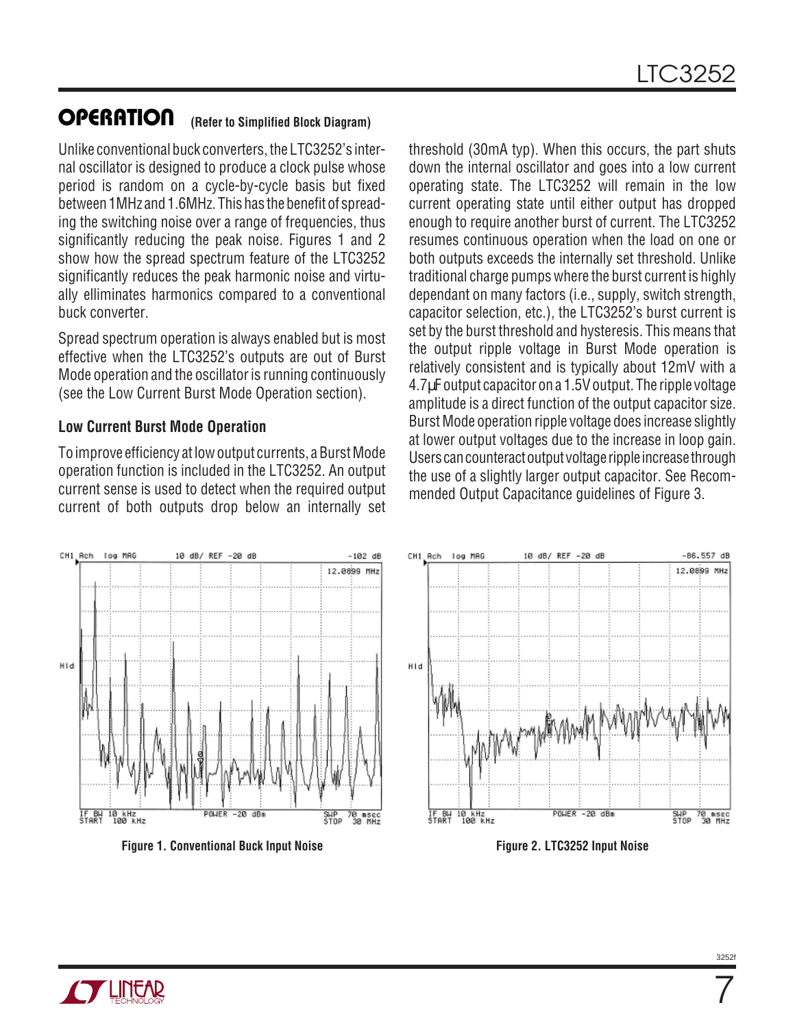Unlike conventional buck converters, the LTC3252's internal oscillator is designed to produce a clock pulse whose period is random on a cycle-by-cycle basis but fixed between 1MHz and 1.6MHz. This has the benefit of spreading the switching noise over a range of frequencies, thus significantly reducing the peak noise. Figures 1 and 2 show how the spread spectrum feature of the LTC3252 significantly reduces the peak harmonic noise and virtually elliminates harmonics compared to a conventional buck converter.

Spread spectrum operation is always enabled but is most effective when the LTC3252's outputs are out of Burst Mode operation and the oscillator is running continuously (see the Low Current Burst Mode Operation section).

#### **Low Current Burst Mode Operation**

To improve efficiency at low output currents, a Burst Mode operation function is included in the LTC3252. An output current sense is used to detect when the required output current of both outputs drop below an internally set threshold (30mA typ). When this occurs, the part shuts down the internal oscillator and goes into a low current operating state. The LTC3252 will remain in the low current operating state until either output has dropped enough to require another burst of current. The LTC3252 resumes continuous operation when the load on one or both outputs exceeds the internally set threshold. Unlike traditional charge pumps where the burst current is highly dependant on many factors (i.e., supply, switch strength, capacitor selection, etc.), the LTC3252's burst current is set by the burst threshold and hysteresis. This means that the output ripple voltage in Burst Mode operation is relatively consistent and is typically about 12mV with a 4.7µF output capacitor on a 1.5V output. The ripple voltage amplitude is a direct function of the output capacitor size. Burst Mode operation ripple voltage does increase slightly at lower output voltages due to the increase in loop gain. Users can counteract output voltage ripple increase through the use of a slightly larger output capacitor. See Recommended Output Capacitance guidelines of Figure 3.







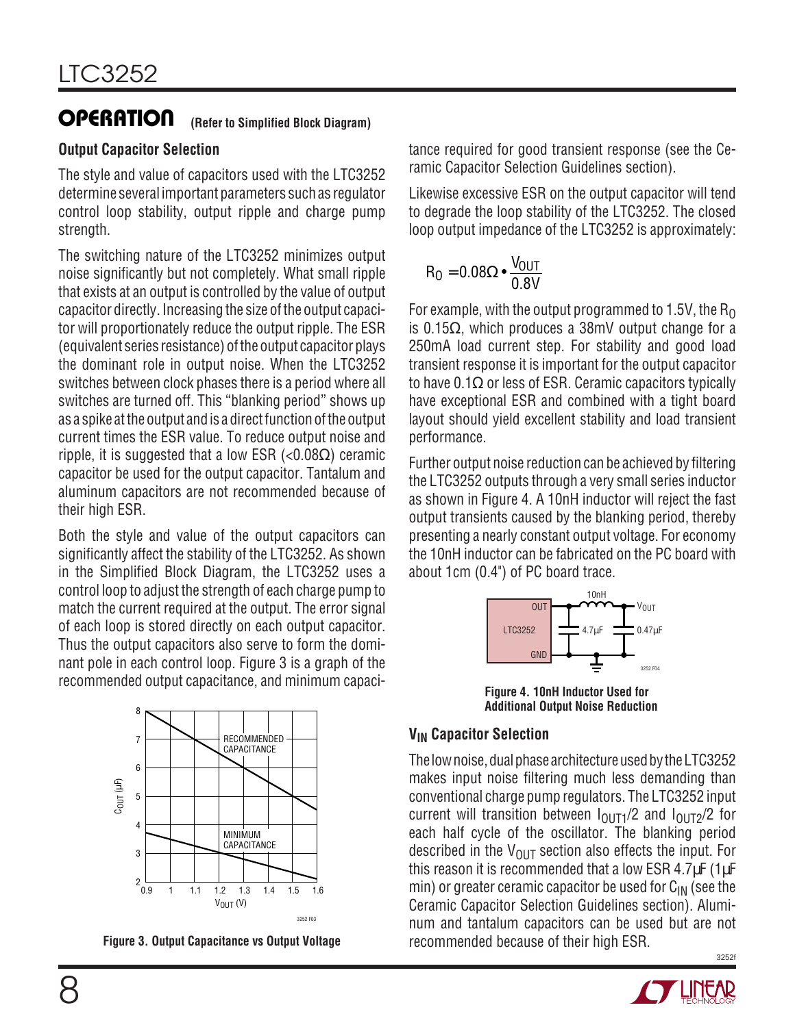#### **Output Capacitor Selection**

The style and value of capacitors used with the LTC3252 determine several important parameters such as regulator control loop stability, output ripple and charge pump strength.

The switching nature of the LTC3252 minimizes output noise significantly but not completely. What small ripple that exists at an output is controlled by the value of output capacitor directly. Increasing the size of the output capacitor will proportionately reduce the output ripple. The ESR (equivalent series resistance) of the output capacitor plays the dominant role in output noise. When the LTC3252 switches between clock phases there is a period where all switches are turned off. This "blanking period" shows up as a spike at the output and is a direct function of the output current times the ESR value. To reduce output noise and ripple, it is suggested that a low ESR (< $0.08\Omega$ ) ceramic capacitor be used for the output capacitor. Tantalum and aluminum capacitors are not recommended because of their high ESR.

Both the style and value of the output capacitors can significantly affect the stability of the LTC3252. As shown in the Simplified Block Diagram, the LTC3252 uses a control loop to adjust the strength of each charge pump to match the current required at the output. The error signal of each loop is stored directly on each output capacitor. Thus the output capacitors also serve to form the dominant pole in each control loop. Figure 3 is a graph of the recommended output capacitance, and minimum capaci-



**Figure 3. Output Capacitance vs Output Voltage**

tance required for good transient response (see the Ceramic Capacitor Selection Guidelines section).

Likewise excessive ESR on the output capacitor will tend to degrade the loop stability of the LTC3252. The closed loop output impedance of the LTC3252 is approximately:

$$
R_0 = 0.08\Omega \bullet \frac{V_{OUT}}{0.8V}
$$

For example, with the output programmed to 1.5V, the  $R_0$ is 0.15Ω, which produces a 38mV output change for a 250mA load current step. For stability and good load transient response it is important for the output capacitor to have  $0.1\Omega$  or less of ESR. Ceramic capacitors typically have exceptional ESR and combined with a tight board layout should yield excellent stability and load transient performance.

Further output noise reduction can be achieved by filtering the LTC3252 outputs through a very small series inductor as shown in Figure 4. A 10nH inductor will reject the fast output transients caused by the blanking period, thereby presenting a nearly constant output voltage. For economy the 10nH inductor can be fabricated on the PC board with about 1cm (0.4") of PC board trace.



**Additional Output Noise Reduction**

#### **VIN Capacitor Selection**

3252f The low noise, dual phase architecture used by the LTC3252 makes input noise filtering much less demanding than conventional charge pump regulators. The LTC3252 input current will transition between  $I_{\Omega I}T_1/2$  and  $I_{\Omega I}T_2/2$  for each half cycle of the oscillator. The blanking period described in the  $V_{\text{OUT}}$  section also effects the input. For this reason it is recommended that a low ESR 4.7 $\mu$ F (1 $\mu$ F min) or greater ceramic capacitor be used for  $C_{IN}$  (see the Ceramic Capacitor Selection Guidelines section). Aluminum and tantalum capacitors can be used but are not recommended because of their high ESR.

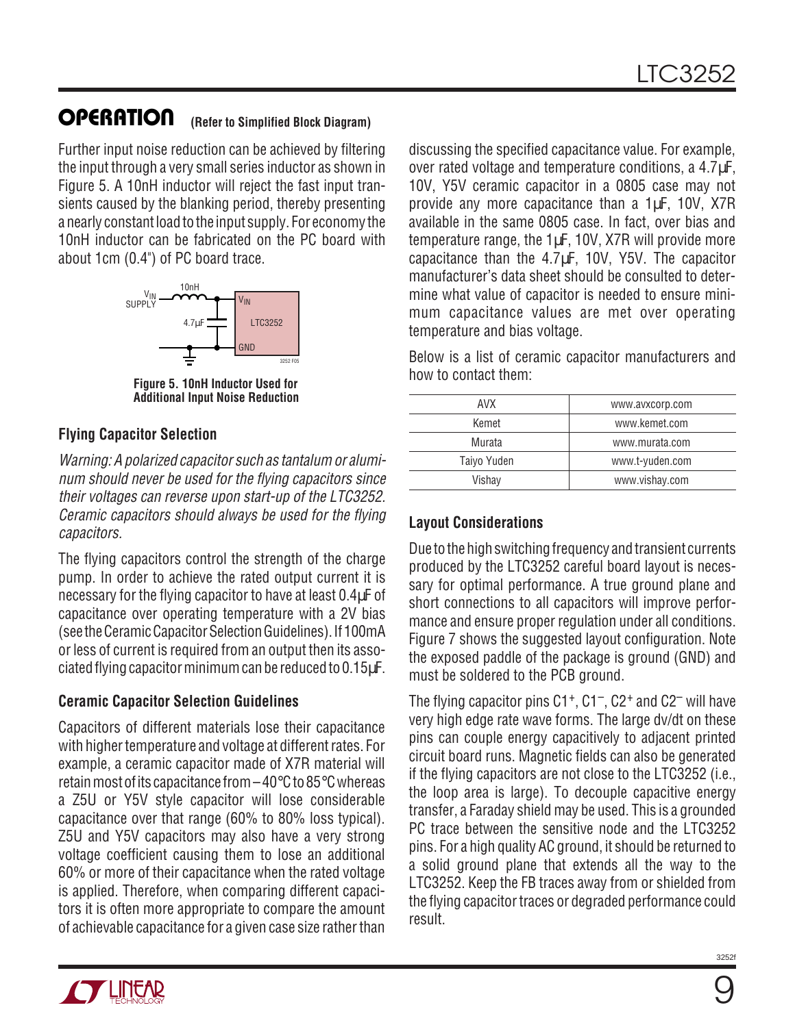Further input noise reduction can be achieved by filtering the input through a very small series inductor as shown in Figure 5. A 10nH inductor will reject the fast input transients caused by the blanking period, thereby presenting a nearly constant load to the input supply. For economy the 10nH inductor can be fabricated on the PC board with about 1cm (0.4") of PC board trace.



**Figure 5. 10nH Inductor Used for Additional Input Noise Reduction**

#### **Flying Capacitor Selection**

Warning: A polarized capacitor such as tantalum or aluminum should never be used for the flying capacitors since their voltages can reverse upon start-up of the LTC3252. Ceramic capacitors should always be used for the flying capacitors.

The flying capacitors control the strength of the charge pump. In order to achieve the rated output current it is necessary for the flying capacitor to have at least 0.4µF of capacitance over operating temperature with a 2V bias (see the Ceramic Capacitor Selection Guidelines). If 100mA or less of current is required from an output then its associated flying capacitor minimum can be reduced to 0.15µF.

#### **Ceramic Capacitor Selection Guidelines**

Capacitors of different materials lose their capacitance with higher temperature and voltage at different rates. For example, a ceramic capacitor made of X7R material will retain most of its capacitance from –40°C to 85°C whereas a Z5U or Y5V style capacitor will lose considerable capacitance over that range (60% to 80% loss typical). Z5U and Y5V capacitors may also have a very strong voltage coefficient causing them to lose an additional 60% or more of their capacitance when the rated voltage is applied. Therefore, when comparing different capacitors it is often more appropriate to compare the amount of achievable capacitance for a given case size rather than

discussing the specified capacitance value. For example, over rated voltage and temperature conditions, a 4.7µF, 10V, Y5V ceramic capacitor in a 0805 case may not provide any more capacitance than a 1µF, 10V, X7R available in the same 0805 case. In fact, over bias and temperature range, the 1µF, 10V, X7R will provide more capacitance than the 4.7µF, 10V, Y5V. The capacitor manufacturer's data sheet should be consulted to determine what value of capacitor is needed to ensure minimum capacitance values are met over operating temperature and bias voltage.

Below is a list of ceramic capacitor manufacturers and how to contact them:

| AVX         | www.avxcorp.com |
|-------------|-----------------|
| Kemet       | www.kemet.com   |
| Murata      | www.murata.com  |
| Taiyo Yuden | www.t-yuden.com |
| Vishay      | www.vishay.com  |
|             |                 |

#### **Layout Considerations**

Due to the high switching frequency and transient currents produced by the LTC3252 careful board layout is necessary for optimal performance. A true ground plane and short connections to all capacitors will improve performance and ensure proper regulation under all conditions. Figure 7 shows the suggested layout configuration. Note the exposed paddle of the package is ground (GND) and must be soldered to the PCB ground.

The flying capacitor pins  $C1^+$ ,  $C1^-$ ,  $C2^+$  and  $C2^-$  will have very high edge rate wave forms. The large dv/dt on these pins can couple energy capacitively to adjacent printed circuit board runs. Magnetic fields can also be generated if the flying capacitors are not close to the LTC3252 (i.e., the loop area is large). To decouple capacitive energy transfer, a Faraday shield may be used. This is a grounded PC trace between the sensitive node and the LTC3252 pins. For a high quality AC ground, it should be returned to a solid ground plane that extends all the way to the LTC3252. Keep the FB traces away from or shielded from the flying capacitor traces or degraded performance could result.

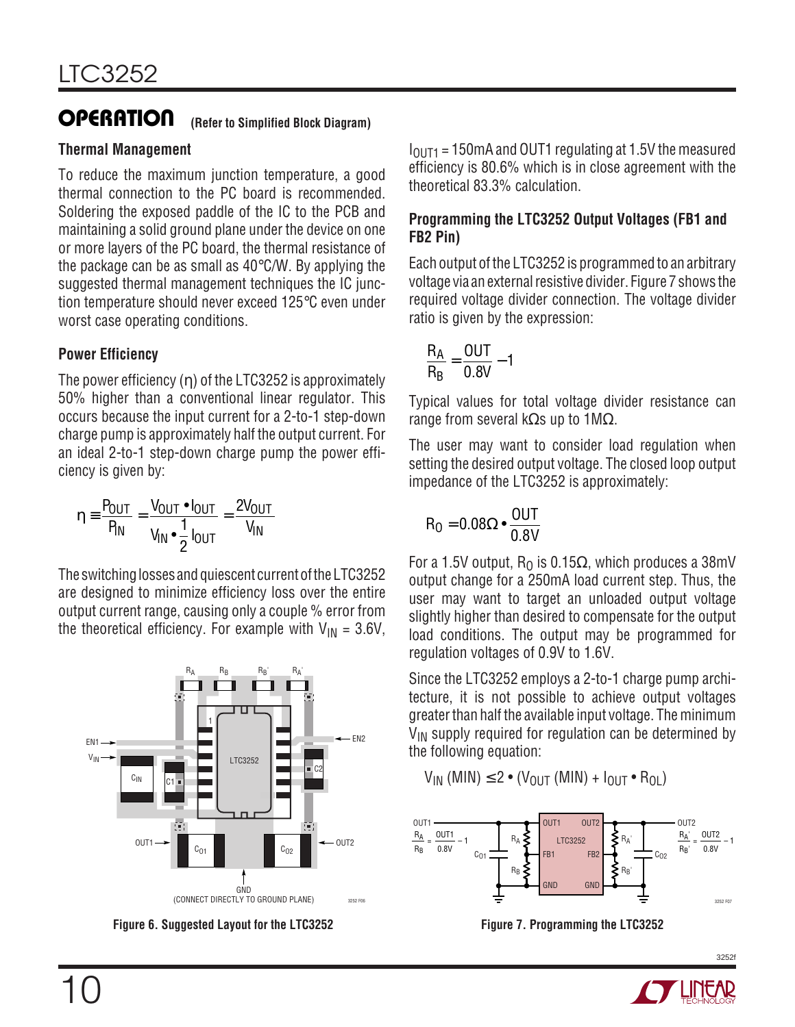#### **Thermal Management**

To reduce the maximum junction temperature, a good thermal connection to the PC board is recommended. Soldering the exposed paddle of the IC to the PCB and maintaining a solid ground plane under the device on one or more layers of the PC board, the thermal resistance of the package can be as small as 40°C/W. By applying the suggested thermal management techniques the IC junction temperature should never exceed 125°C even under worst case operating conditions.

#### **Power Efficiency**

The power efficiency (η) of the LTC3252 is approximately 50% higher than a conventional linear regulator. This occurs because the input current for a 2-to-1 step-down charge pump is approximately half the output current. For an ideal 2-to-1 step-down charge pump the power efficiency is given by:

$$
\eta \equiv \frac{P_{OUT}}{P_{IN}} = \frac{V_{OUT} \cdot I_{OUT}}{V_{IN} \cdot \frac{1}{2} I_{OUT}} = \frac{2V_{OUT}}{V_{IN}}
$$

The switching losses and quiescent current of the LTC3252 are designed to minimize efficiency loss over the entire output current range, causing only a couple % error from the theoretical efficiency. For example with  $V_{IN} = 3.6V$ ,



**Figure 6. Suggested Layout for the LTC3252**

 $I<sub>OUT1</sub> = 150$ mA and OUT1 regulating at 1.5V the measured efficiency is 80.6% which is in close agreement with the theoretical 83.3% calculation.

#### **Programming the LTC3252 Output Voltages (FB1 and FB2 Pin)**

Each output of the LTC3252 is programmed to an arbitrary voltage via an external resistive divider. Figure 7 shows the required voltage divider connection. The voltage divider ratio is given by the expression:

$$
\frac{R_A}{R_B}=\frac{OUT}{0.8V}-1
$$

Typical values for total voltage divider resistance can range from several kΩs up to  $1\text{M}\Omega$ .

The user may want to consider load regulation when setting the desired output voltage. The closed loop output impedance of the LTC3252 is approximately:

$$
\mathsf{R}_0 = 0.08\Omega \bullet \frac{\mathsf{OUT}}{\mathsf{0.8V}}
$$

For a 1.5V output,  $R_0$  is 0.15 $\Omega$ , which produces a 38mV output change for a 250mA load current step. Thus, the user may want to target an unloaded output voltage slightly higher than desired to compensate for the output load conditions. The output may be programmed for regulation voltages of 0.9V to 1.6V.

Since the LTC3252 employs a 2-to-1 charge pump architecture, it is not possible to achieve output voltages greater than half the available input voltage. The minimum  $V_{IN}$  supply required for regulation can be determined by the following equation:

$$
\mathsf{V}_{\mathsf{IN}}\;(\mathsf{MIN}) \leq 2\bullet (\mathsf{V}_{\mathsf{OUT}}\;(\mathsf{MIN}) + \mathsf{I}_{\mathsf{OUT}}\bullet\mathsf{R}_{\mathsf{OL}})
$$



**Figure 7. Programming the LTC3252**

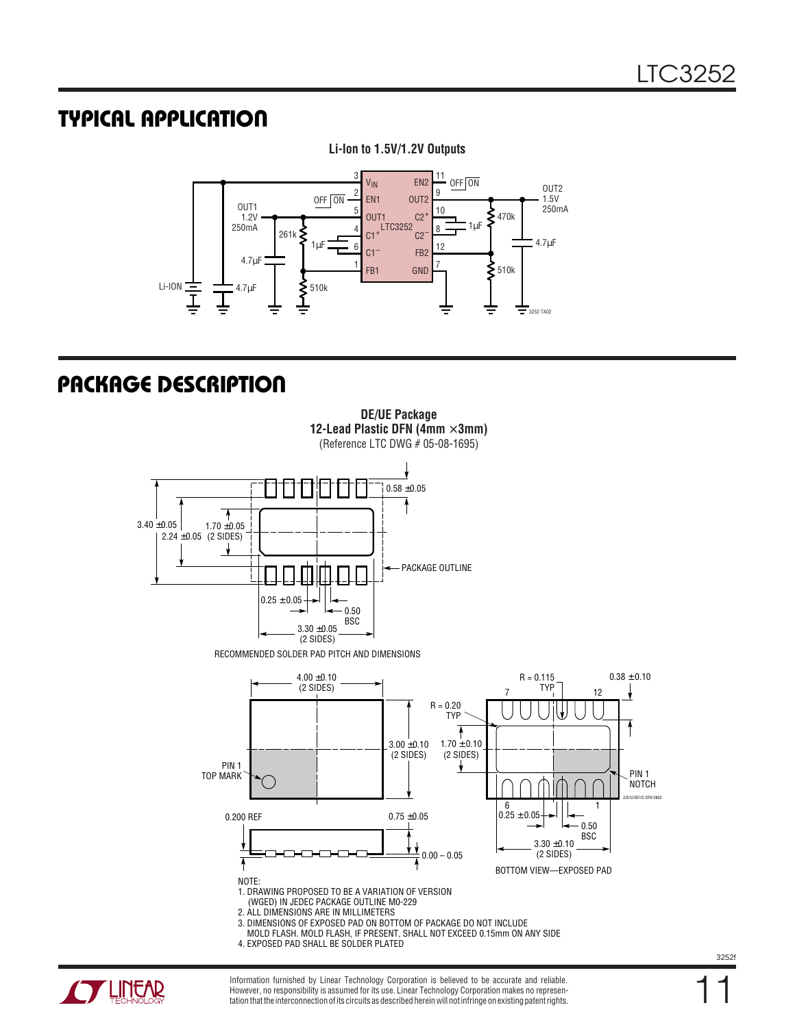#### **TYPICAL APPLICATIO U**



**Li-Ion to 1.5V/1.2V Outputs**

## **PACKAGE DESCRIPTION**





Information furnished by Linear Technology Corporation is believed to be accurate and reliable. However, no responsibility is assumed for its use. Linear Technology Corporation makes no representation that the interconnection of its circuits as described herein will not infringe on existing patent rights.